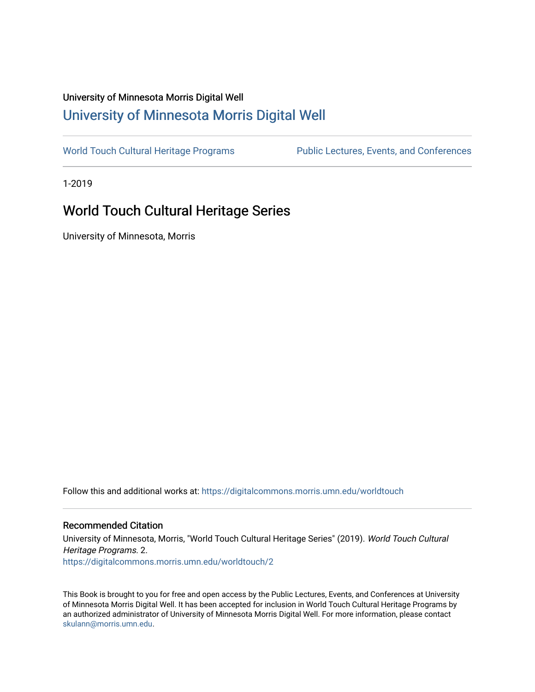# University of Minnesota Morris Digital Well [University of Minnesota Morris Digital Well](https://digitalcommons.morris.umn.edu/)

[World Touch Cultural Heritage Programs](https://digitalcommons.morris.umn.edu/worldtouch) Public Lectures, Events, and Conferences

1-2019

# World Touch Cultural Heritage Series

University of Minnesota, Morris

Follow this and additional works at: [https://digitalcommons.morris.umn.edu/worldtouch](https://digitalcommons.morris.umn.edu/worldtouch?utm_source=digitalcommons.morris.umn.edu%2Fworldtouch%2F2&utm_medium=PDF&utm_campaign=PDFCoverPages)

## Recommended Citation

University of Minnesota, Morris, "World Touch Cultural Heritage Series" (2019). World Touch Cultural Heritage Programs. 2. [https://digitalcommons.morris.umn.edu/worldtouch/2](https://digitalcommons.morris.umn.edu/worldtouch/2?utm_source=digitalcommons.morris.umn.edu%2Fworldtouch%2F2&utm_medium=PDF&utm_campaign=PDFCoverPages)

This Book is brought to you for free and open access by the Public Lectures, Events, and Conferences at University of Minnesota Morris Digital Well. It has been accepted for inclusion in World Touch Cultural Heritage Programs by an authorized administrator of University of Minnesota Morris Digital Well. For more information, please contact [skulann@morris.umn.edu.](mailto:skulann@morris.umn.edu)